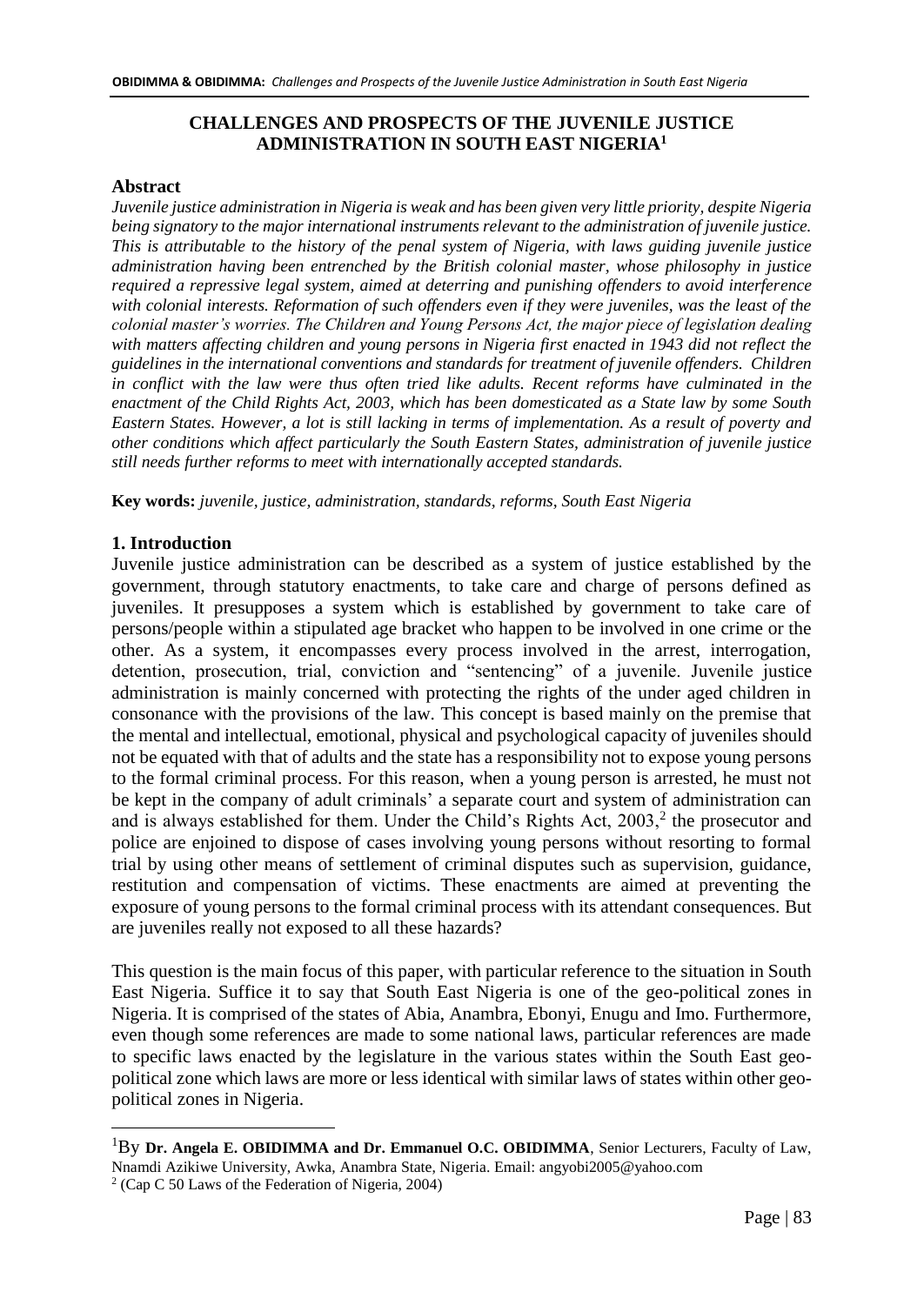## **CHALLENGES AND PROSPECTS OF THE JUVENILE JUSTICE ADMINISTRATION IN SOUTH EAST NIGERIA<sup>1</sup>**

#### **Abstract**

*Juvenile justice administration in Nigeria is weak and has been given very little priority, despite Nigeria being signatory to the major international instruments relevant to the administration of juvenile justice. This is attributable to the history of the penal system of Nigeria, with laws guiding juvenile justice administration having been entrenched by the British colonial master, whose philosophy in justice required a repressive legal system, aimed at deterring and punishing offenders to avoid interference with colonial interests. Reformation of such offenders even if they were juveniles, was the least of the colonial master's worries. The Children and Young Persons Act, the major piece of legislation dealing with matters affecting children and young persons in Nigeria first enacted in 1943 did not reflect the guidelines in the international conventions and standards for treatment of juvenile offenders. Children*  in conflict with the law were thus often tried like adults. Recent reforms have culminated in the *enactment of the Child Rights Act, 2003, which has been domesticated as a State law by some South Eastern States. However, a lot is still lacking in terms of implementation. As a result of poverty and other conditions which affect particularly the South Eastern States, administration of juvenile justice still needs further reforms to meet with internationally accepted standards.* 

**Key words:** *juvenile, justice, administration, standards, reforms, South East Nigeria* 

#### **1. Introduction**

Juvenile justice administration can be described as a system of justice established by the government, through statutory enactments, to take care and charge of persons defined as juveniles. It presupposes a system which is established by government to take care of persons/people within a stipulated age bracket who happen to be involved in one crime or the other. As a system, it encompasses every process involved in the arrest, interrogation, detention, prosecution, trial, conviction and "sentencing" of a juvenile. Juvenile justice administration is mainly concerned with protecting the rights of the under aged children in consonance with the provisions of the law. This concept is based mainly on the premise that the mental and intellectual, emotional, physical and psychological capacity of juveniles should not be equated with that of adults and the state has a responsibility not to expose young persons to the formal criminal process. For this reason, when a young person is arrested, he must not be kept in the company of adult criminals' a separate court and system of administration can and is always established for them. Under the Child's Rights Act,  $2003$ <sup>2</sup>, the prosecutor and police are enjoined to dispose of cases involving young persons without resorting to formal trial by using other means of settlement of criminal disputes such as supervision, guidance, restitution and compensation of victims. These enactments are aimed at preventing the exposure of young persons to the formal criminal process with its attendant consequences. But are juveniles really not exposed to all these hazards?

This question is the main focus of this paper, with particular reference to the situation in South East Nigeria. Suffice it to say that South East Nigeria is one of the geo-political zones in Nigeria. It is comprised of the states of Abia, Anambra, Ebonyi, Enugu and Imo. Furthermore, even though some references are made to some national laws, particular references are made to specific laws enacted by the legislature in the various states within the South East geopolitical zone which laws are more or less identical with similar laws of states within other geopolitical zones in Nigeria.

<sup>1</sup>By **Dr. Angela E. OBIDIMMA and Dr. Emmanuel O.C. OBIDIMMA**, Senior Lecturers, Faculty of Law, Nnamdi Azikiwe University, Awka, Anambra State, Nigeria. Email: angyobi2005@yahoo.com

<sup>2</sup> (Cap C 50 Laws of the Federation of Nigeria, 2004)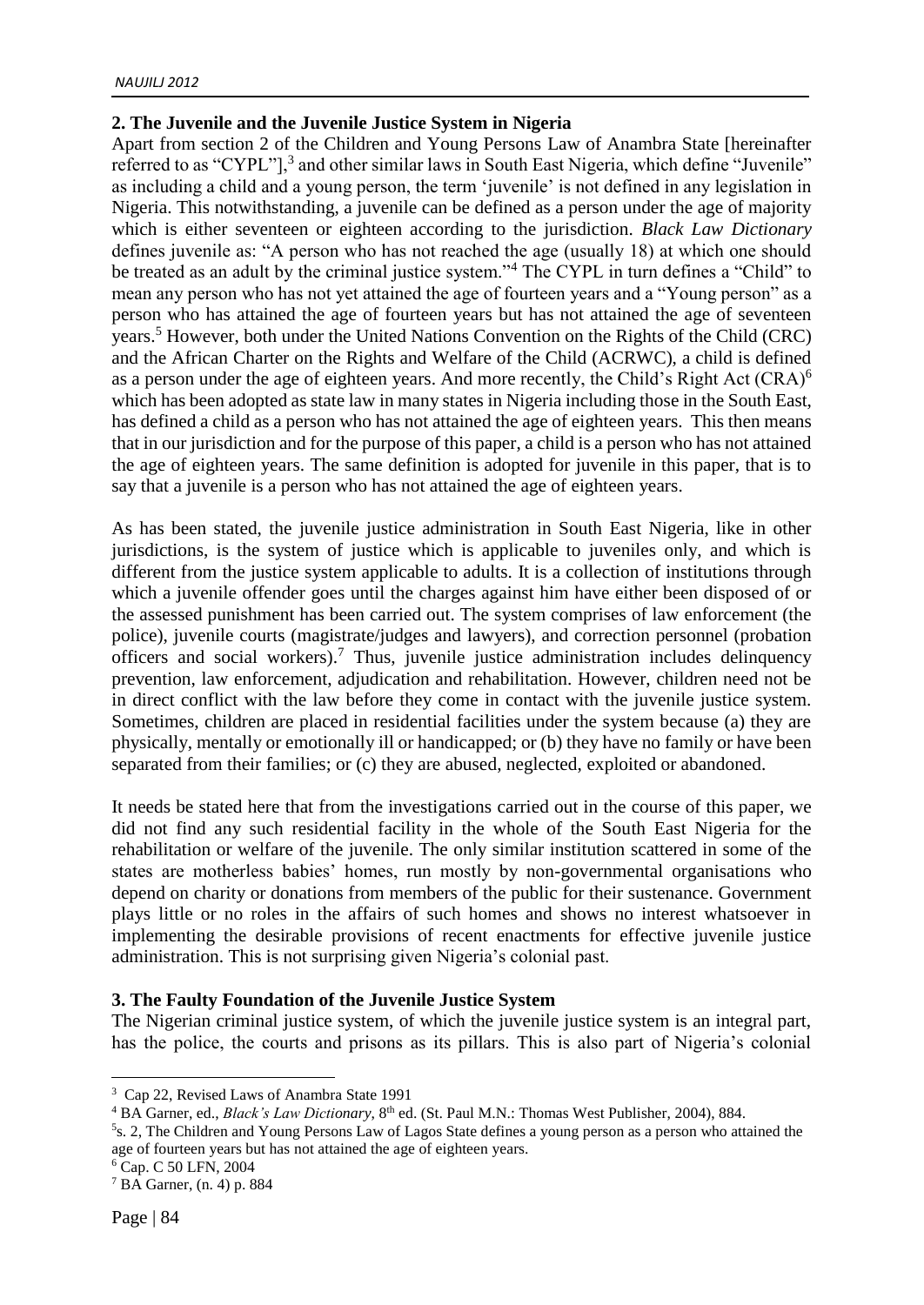# **2. The Juvenile and the Juvenile Justice System in Nigeria**

Apart from section 2 of the Children and Young Persons Law of Anambra State [hereinafter referred to as "CYPL"],<sup>3</sup> and other similar laws in South East Nigeria, which define "Juvenile" as including a child and a young person, the term 'juvenile' is not defined in any legislation in Nigeria. This notwithstanding, a juvenile can be defined as a person under the age of majority which is either seventeen or eighteen according to the jurisdiction. *Black Law Dictionary* defines juvenile as: "A person who has not reached the age (usually 18) at which one should be treated as an adult by the criminal justice system."<sup>4</sup> The CYPL in turn defines a "Child" to mean any person who has not yet attained the age of fourteen years and a "Young person" as a person who has attained the age of fourteen years but has not attained the age of seventeen years.<sup>5</sup> However, both under the United Nations Convention on the Rights of the Child (CRC) and the African Charter on the Rights and Welfare of the Child (ACRWC), a child is defined as a person under the age of eighteen years. And more recently, the Child's Right Act (CRA)<sup>6</sup> which has been adopted as state law in many states in Nigeria including those in the South East, has defined a child as a person who has not attained the age of eighteen years. This then means that in our jurisdiction and for the purpose of this paper, a child is a person who has not attained the age of eighteen years. The same definition is adopted for juvenile in this paper, that is to say that a juvenile is a person who has not attained the age of eighteen years.

As has been stated, the juvenile justice administration in South East Nigeria, like in other jurisdictions, is the system of justice which is applicable to juveniles only, and which is different from the justice system applicable to adults. It is a collection of institutions through which a juvenile offender goes until the charges against him have either been disposed of or the assessed punishment has been carried out. The system comprises of law enforcement (the police), juvenile courts (magistrate/judges and lawyers), and correction personnel (probation officers and social workers).<sup>7</sup> Thus, juvenile justice administration includes delinquency prevention, law enforcement, adjudication and rehabilitation. However, children need not be in direct conflict with the law before they come in contact with the juvenile justice system. Sometimes, children are placed in residential facilities under the system because (a) they are physically, mentally or emotionally ill or handicapped; or (b) they have no family or have been separated from their families; or (c) they are abused, neglected, exploited or abandoned.

It needs be stated here that from the investigations carried out in the course of this paper, we did not find any such residential facility in the whole of the South East Nigeria for the rehabilitation or welfare of the juvenile. The only similar institution scattered in some of the states are motherless babies' homes, run mostly by non-governmental organisations who depend on charity or donations from members of the public for their sustenance. Government plays little or no roles in the affairs of such homes and shows no interest whatsoever in implementing the desirable provisions of recent enactments for effective juvenile justice administration. This is not surprising given Nigeria's colonial past.

#### **3. The Faulty Foundation of the Juvenile Justice System**

The Nigerian criminal justice system, of which the juvenile justice system is an integral part, has the police, the courts and prisons as its pillars. This is also part of Nigeria's colonial

<sup>6</sup> Cap. C 50 LFN, 2004

<sup>&</sup>lt;sup>3</sup> Cap 22, Revised Laws of Anambra State 1991

<sup>&</sup>lt;sup>4</sup> BA Garner, ed., *Black's Law Dictionary*, 8<sup>th</sup> ed. (St. Paul M.N.: Thomas West Publisher, 2004), 884.

<sup>5</sup> s. 2, The Children and Young Persons Law of Lagos State defines a young person as a person who attained the age of fourteen years but has not attained the age of eighteen years.

 $<sup>7</sup>$  BA Garner, (n. 4) p. 884</sup>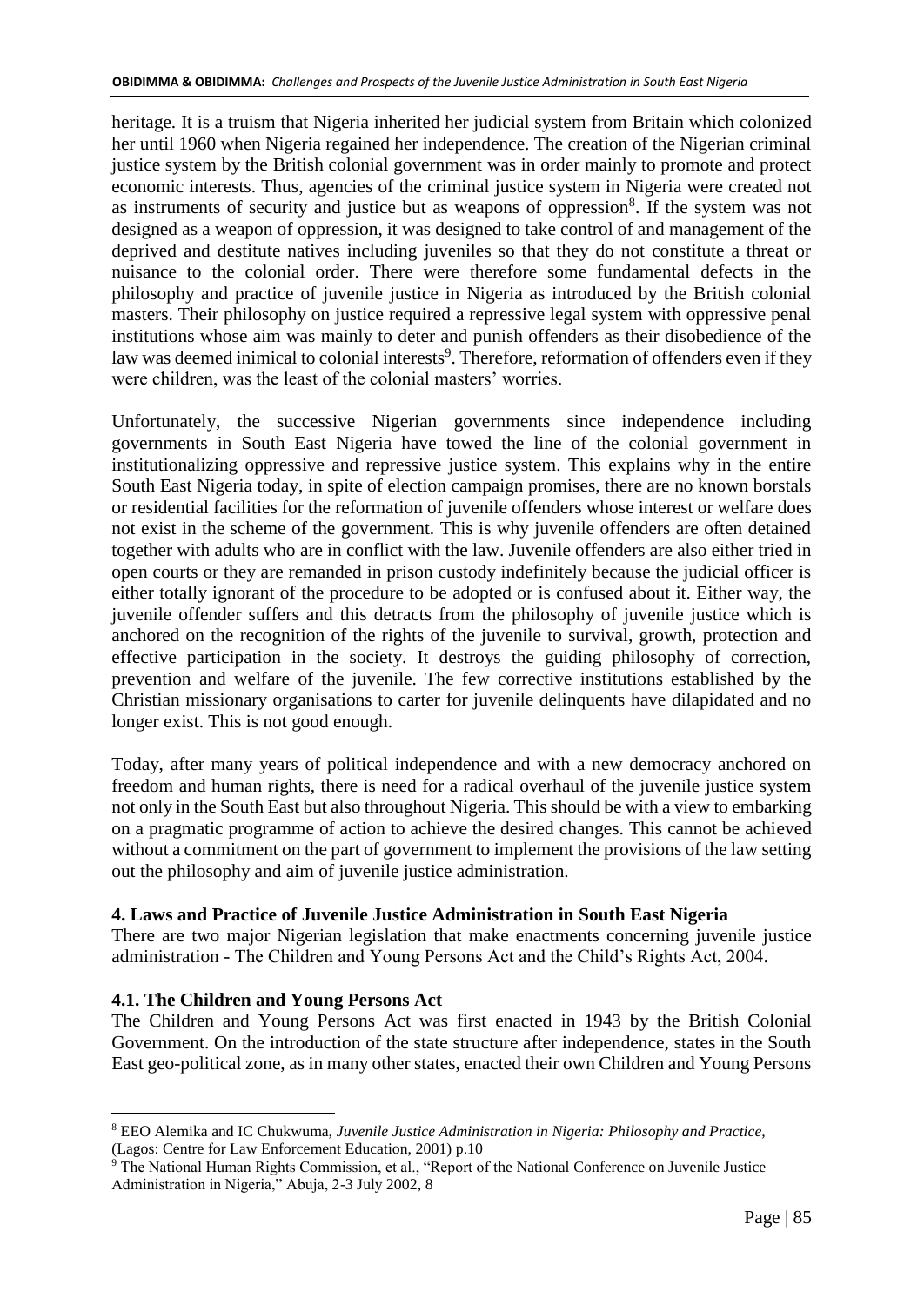heritage. It is a truism that Nigeria inherited her judicial system from Britain which colonized her until 1960 when Nigeria regained her independence. The creation of the Nigerian criminal justice system by the British colonial government was in order mainly to promote and protect economic interests. Thus, agencies of the criminal justice system in Nigeria were created not as instruments of security and justice but as weapons of oppression<sup>8</sup>. If the system was not designed as a weapon of oppression, it was designed to take control of and management of the deprived and destitute natives including juveniles so that they do not constitute a threat or nuisance to the colonial order. There were therefore some fundamental defects in the philosophy and practice of juvenile justice in Nigeria as introduced by the British colonial masters. Their philosophy on justice required a repressive legal system with oppressive penal institutions whose aim was mainly to deter and punish offenders as their disobedience of the law was deemed inimical to colonial interests<sup>9</sup>. Therefore, reformation of offenders even if they were children, was the least of the colonial masters' worries.

Unfortunately, the successive Nigerian governments since independence including governments in South East Nigeria have towed the line of the colonial government in institutionalizing oppressive and repressive justice system. This explains why in the entire South East Nigeria today, in spite of election campaign promises, there are no known borstals or residential facilities for the reformation of juvenile offenders whose interest or welfare does not exist in the scheme of the government. This is why juvenile offenders are often detained together with adults who are in conflict with the law. Juvenile offenders are also either tried in open courts or they are remanded in prison custody indefinitely because the judicial officer is either totally ignorant of the procedure to be adopted or is confused about it. Either way, the juvenile offender suffers and this detracts from the philosophy of juvenile justice which is anchored on the recognition of the rights of the juvenile to survival, growth, protection and effective participation in the society. It destroys the guiding philosophy of correction, prevention and welfare of the juvenile. The few corrective institutions established by the Christian missionary organisations to carter for juvenile delinquents have dilapidated and no longer exist. This is not good enough.

Today, after many years of political independence and with a new democracy anchored on freedom and human rights, there is need for a radical overhaul of the juvenile justice system not only in the South East but also throughout Nigeria. This should be with a view to embarking on a pragmatic programme of action to achieve the desired changes. This cannot be achieved without a commitment on the part of government to implement the provisions of the law setting out the philosophy and aim of juvenile justice administration.

#### **4. Laws and Practice of Juvenile Justice Administration in South East Nigeria**

There are two major Nigerian legislation that make enactments concerning juvenile justice administration - The Children and Young Persons Act and the Child's Rights Act, 2004.

# **4.1. The Children and Young Persons Act**

<u>.</u>

The Children and Young Persons Act was first enacted in 1943 by the British Colonial Government. On the introduction of the state structure after independence, states in the South East geo-political zone, as in many other states, enacted their own Children and Young Persons

<sup>8</sup> EEO Alemika and IC Chukwuma, *Juvenile Justice Administration in Nigeria: Philosophy and Practice,* (Lagos: Centre for Law Enforcement Education, 2001) p.10

<sup>9</sup> The National Human Rights Commission, et al., "Report of the National Conference on Juvenile Justice Administration in Nigeria," Abuja, 2-3 July 2002, 8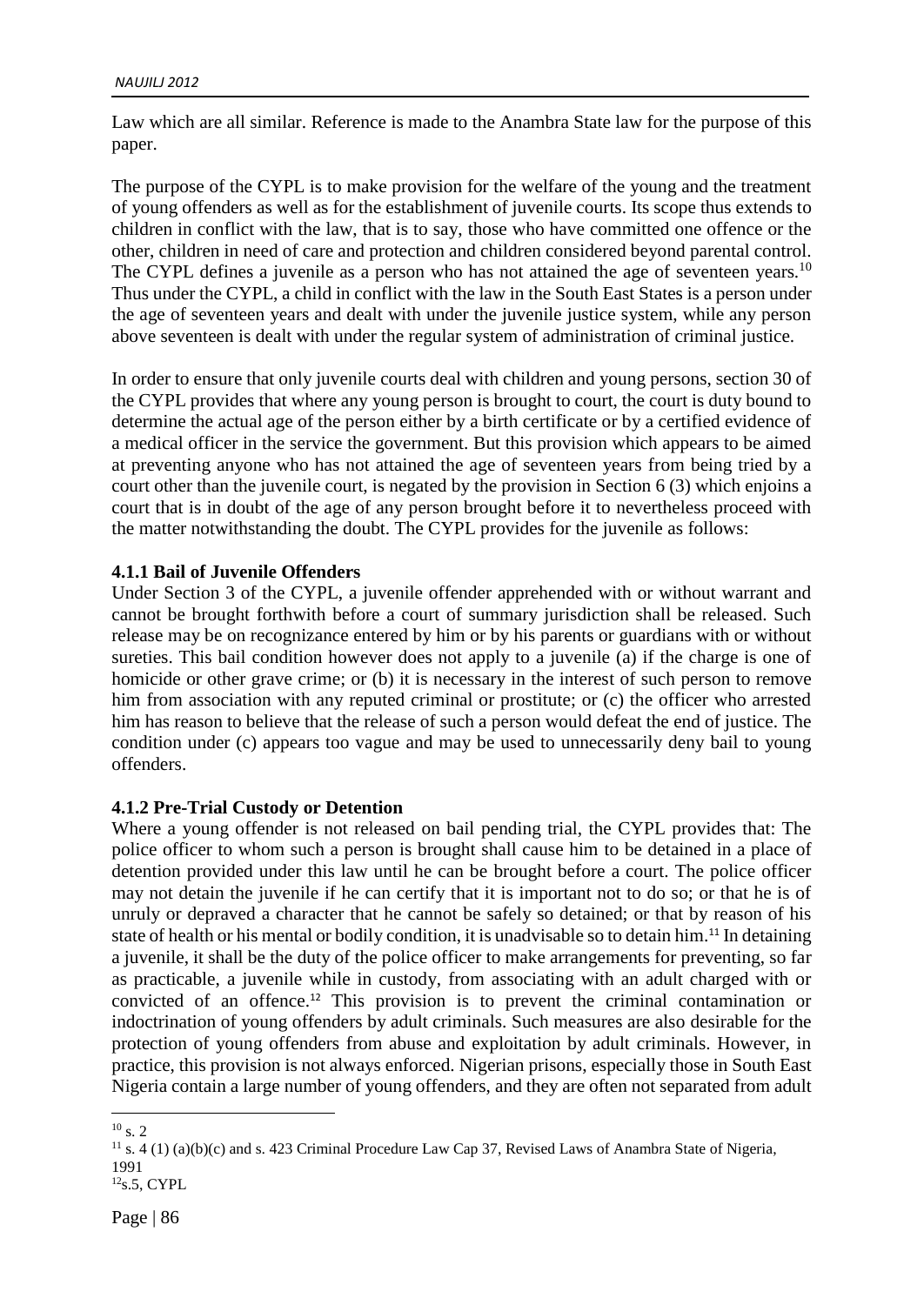Law which are all similar. Reference is made to the Anambra State law for the purpose of this paper.

The purpose of the CYPL is to make provision for the welfare of the young and the treatment of young offenders as well as for the establishment of juvenile courts. Its scope thus extends to children in conflict with the law, that is to say, those who have committed one offence or the other, children in need of care and protection and children considered beyond parental control. The CYPL defines a juvenile as a person who has not attained the age of seventeen years.<sup>10</sup> Thus under the CYPL, a child in conflict with the law in the South East States is a person under the age of seventeen years and dealt with under the juvenile justice system, while any person above seventeen is dealt with under the regular system of administration of criminal justice.

In order to ensure that only juvenile courts deal with children and young persons, section 30 of the CYPL provides that where any young person is brought to court, the court is duty bound to determine the actual age of the person either by a birth certificate or by a certified evidence of a medical officer in the service the government. But this provision which appears to be aimed at preventing anyone who has not attained the age of seventeen years from being tried by a court other than the juvenile court, is negated by the provision in Section 6 (3) which enjoins a court that is in doubt of the age of any person brought before it to nevertheless proceed with the matter notwithstanding the doubt. The CYPL provides for the juvenile as follows:

#### **4.1.1 Bail of Juvenile Offenders**

Under Section 3 of the CYPL, a juvenile offender apprehended with or without warrant and cannot be brought forthwith before a court of summary jurisdiction shall be released. Such release may be on recognizance entered by him or by his parents or guardians with or without sureties. This bail condition however does not apply to a juvenile (a) if the charge is one of homicide or other grave crime; or (b) it is necessary in the interest of such person to remove him from association with any reputed criminal or prostitute; or (c) the officer who arrested him has reason to believe that the release of such a person would defeat the end of justice. The condition under (c) appears too vague and may be used to unnecessarily deny bail to young offenders.

#### **4.1.2 Pre-Trial Custody or Detention**

Where a young offender is not released on bail pending trial, the CYPL provides that: The police officer to whom such a person is brought shall cause him to be detained in a place of detention provided under this law until he can be brought before a court. The police officer may not detain the juvenile if he can certify that it is important not to do so; or that he is of unruly or depraved a character that he cannot be safely so detained; or that by reason of his state of health or his mental or bodily condition, it is unadvisable so to detain him.<sup>11</sup> In detaining a juvenile, it shall be the duty of the police officer to make arrangements for preventing, so far as practicable, a juvenile while in custody, from associating with an adult charged with or convicted of an offence.<sup>12</sup> This provision is to prevent the criminal contamination or indoctrination of young offenders by adult criminals. Such measures are also desirable for the protection of young offenders from abuse and exploitation by adult criminals. However, in practice, this provision is not always enforced. Nigerian prisons, especially those in South East Nigeria contain a large number of young offenders, and they are often not separated from adult

<u>.</u>

 $10$  s. 2

 $11$  s. 4 (1) (a)(b)(c) and s. 423 Criminal Procedure Law Cap 37, Revised Laws of Anambra State of Nigeria, 1991

 $12$ <sub>S.5</sub>, CYPL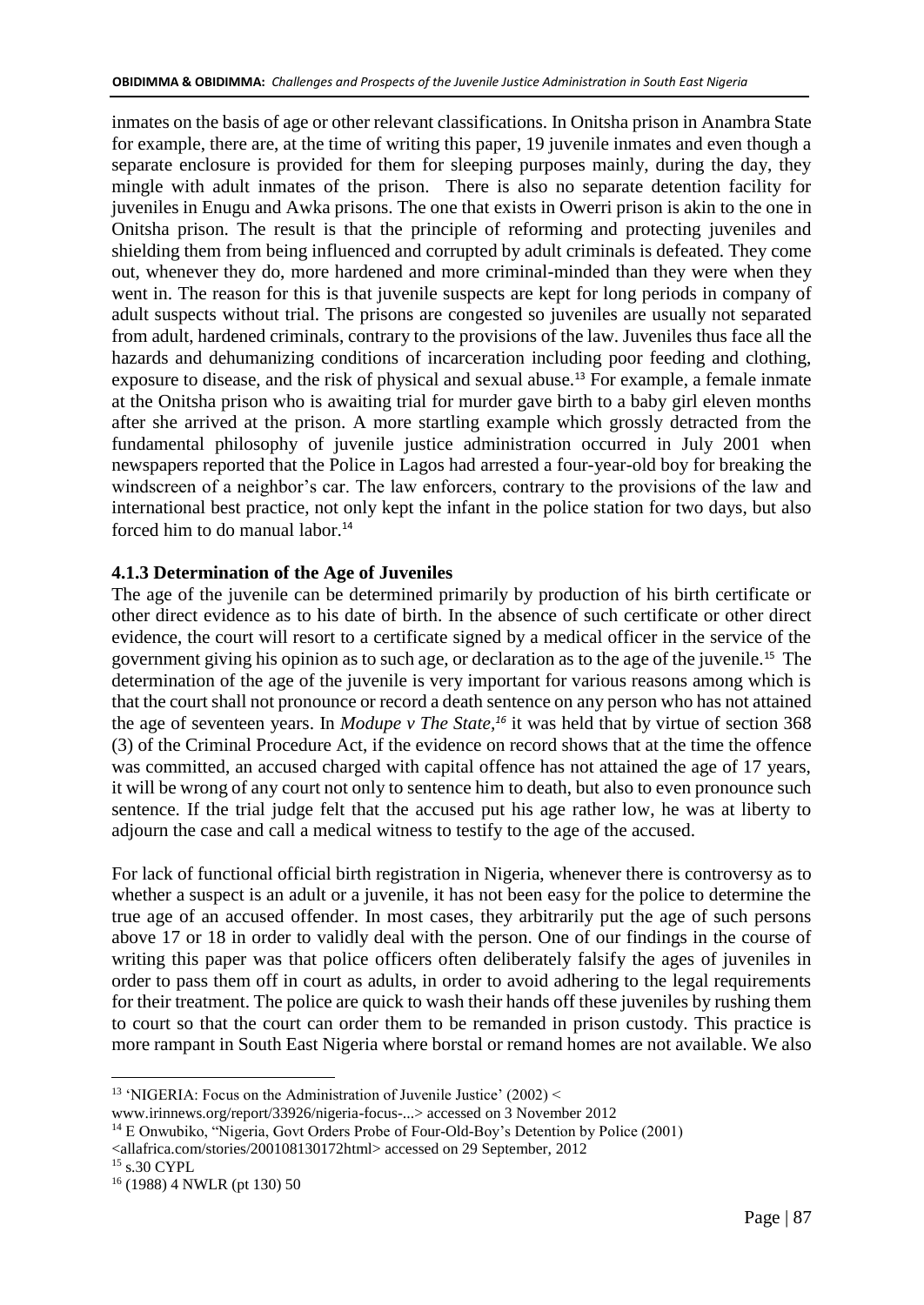inmates on the basis of age or other relevant classifications. In Onitsha prison in Anambra State for example, there are, at the time of writing this paper, 19 juvenile inmates and even though a separate enclosure is provided for them for sleeping purposes mainly, during the day, they mingle with adult inmates of the prison. There is also no separate detention facility for juveniles in Enugu and Awka prisons. The one that exists in Owerri prison is akin to the one in Onitsha prison. The result is that the principle of reforming and protecting juveniles and shielding them from being influenced and corrupted by adult criminals is defeated. They come out, whenever they do, more hardened and more criminal-minded than they were when they went in. The reason for this is that juvenile suspects are kept for long periods in company of adult suspects without trial. The prisons are congested so juveniles are usually not separated from adult, hardened criminals, contrary to the provisions of the law. Juveniles thus face all the hazards and dehumanizing conditions of incarceration including poor feeding and clothing, exposure to disease, and the risk of physical and sexual abuse.<sup>13</sup> For example, a female inmate at the Onitsha prison who is awaiting trial for murder gave birth to a baby girl eleven months after she arrived at the prison. A more startling example which grossly detracted from the fundamental philosophy of juvenile justice administration occurred in July 2001 when newspapers reported that the Police in Lagos had arrested a four-year-old boy for breaking the windscreen of a neighbor's car. The law enforcers, contrary to the provisions of the law and international best practice, not only kept the infant in the police station for two days, but also forced him to do manual labor.<sup>14</sup>

# **4.1.3 Determination of the Age of Juveniles**

The age of the juvenile can be determined primarily by production of his birth certificate or other direct evidence as to his date of birth. In the absence of such certificate or other direct evidence, the court will resort to a certificate signed by a medical officer in the service of the government giving his opinion as to such age, or declaration as to the age of the juvenile.<sup>15</sup> The determination of the age of the juvenile is very important for various reasons among which is that the court shall not pronounce or record a death sentence on any person who has not attained the age of seventeen years. In *Modupe v The State, <sup>16</sup>* it was held that by virtue of section 368 (3) of the Criminal Procedure Act, if the evidence on record shows that at the time the offence was committed, an accused charged with capital offence has not attained the age of 17 years, it will be wrong of any court not only to sentence him to death, but also to even pronounce such sentence. If the trial judge felt that the accused put his age rather low, he was at liberty to adjourn the case and call a medical witness to testify to the age of the accused.

For lack of functional official birth registration in Nigeria, whenever there is controversy as to whether a suspect is an adult or a juvenile, it has not been easy for the police to determine the true age of an accused offender. In most cases, they arbitrarily put the age of such persons above 17 or 18 in order to validly deal with the person. One of our findings in the course of writing this paper was that police officers often deliberately falsify the ages of juveniles in order to pass them off in court as adults, in order to avoid adhering to the legal requirements for their treatment. The police are quick to wash their hands off these juveniles by rushing them to court so that the court can order them to be remanded in prison custody. This practice is more rampant in South East Nigeria where borstal or remand homes are not available. We also

[www.irinnews.org/report/33926/nigeria-focus-.](http://www.irinnews.org/report/33926/nigeria-focus-)..> accessed on 3 November 2012

<allafrica.com/stories/200108130172html> accessed on 29 September, 2012

<sup>1</sup> <sup>13</sup> 'NIGERIA: Focus on the Administration of Juvenile Justice' (2002) <

<sup>&</sup>lt;sup>14</sup> E Onwubiko, "Nigeria, Govt Orders Probe of Four-Old-Boy's Detention by Police (2001)

<sup>&</sup>lt;sup>15</sup> s.30 CYPL

<sup>16</sup> (1988) 4 NWLR (pt 130) 50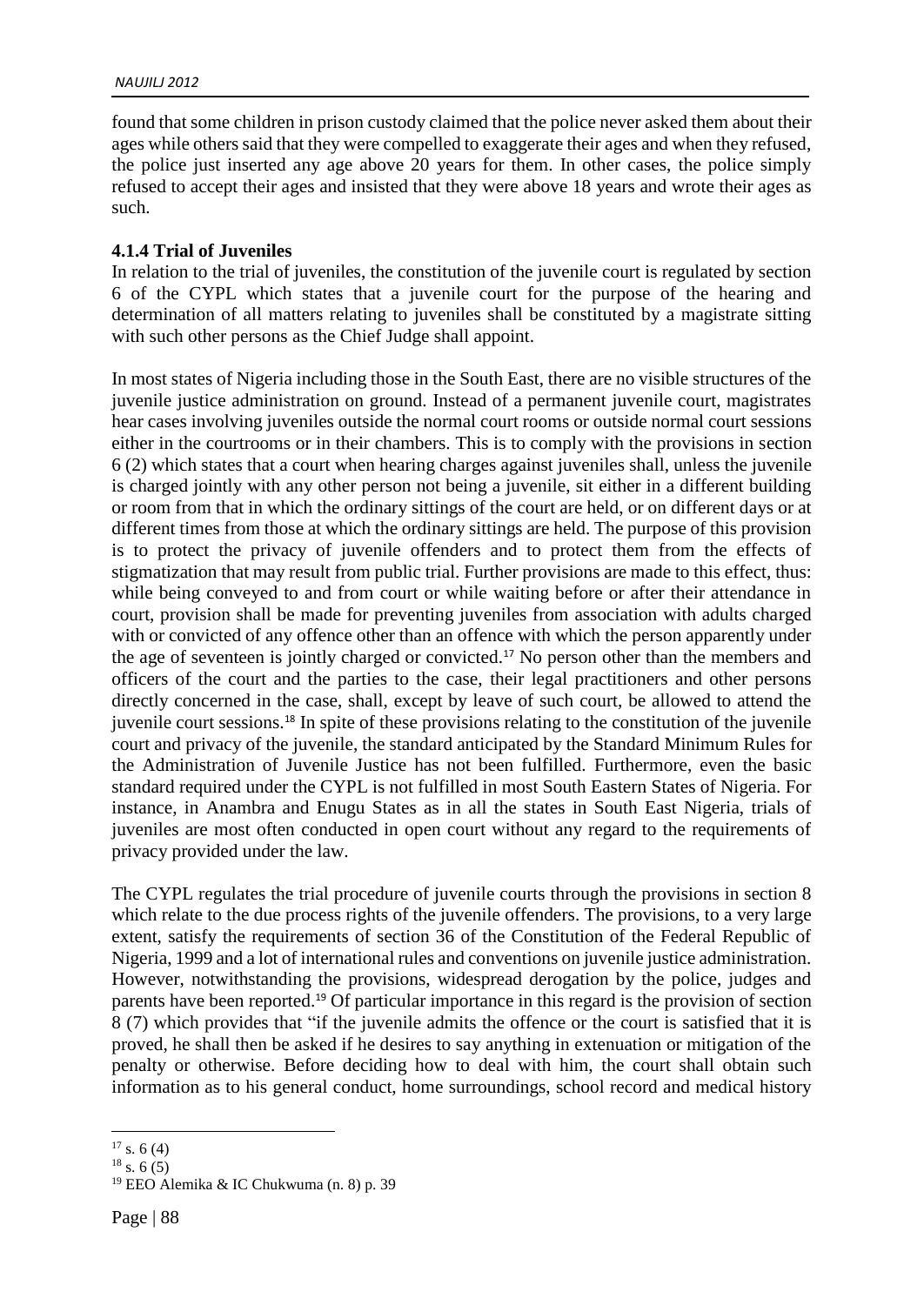found that some children in prison custody claimed that the police never asked them about their ages while others said that they were compelled to exaggerate their ages and when they refused, the police just inserted any age above 20 years for them. In other cases, the police simply refused to accept their ages and insisted that they were above 18 years and wrote their ages as such.

#### **4.1.4 Trial of Juveniles**

In relation to the trial of juveniles, the constitution of the juvenile court is regulated by section 6 of the CYPL which states that a juvenile court for the purpose of the hearing and determination of all matters relating to juveniles shall be constituted by a magistrate sitting with such other persons as the Chief Judge shall appoint.

In most states of Nigeria including those in the South East, there are no visible structures of the juvenile justice administration on ground. Instead of a permanent juvenile court, magistrates hear cases involving juveniles outside the normal court rooms or outside normal court sessions either in the courtrooms or in their chambers. This is to comply with the provisions in section 6 (2) which states that a court when hearing charges against juveniles shall, unless the juvenile is charged jointly with any other person not being a juvenile, sit either in a different building or room from that in which the ordinary sittings of the court are held, or on different days or at different times from those at which the ordinary sittings are held. The purpose of this provision is to protect the privacy of juvenile offenders and to protect them from the effects of stigmatization that may result from public trial. Further provisions are made to this effect, thus: while being conveyed to and from court or while waiting before or after their attendance in court, provision shall be made for preventing juveniles from association with adults charged with or convicted of any offence other than an offence with which the person apparently under the age of seventeen is jointly charged or convicted.<sup>17</sup> No person other than the members and officers of the court and the parties to the case, their legal practitioners and other persons directly concerned in the case, shall, except by leave of such court, be allowed to attend the juvenile court sessions.<sup>18</sup> In spite of these provisions relating to the constitution of the juvenile court and privacy of the juvenile, the standard anticipated by the Standard Minimum Rules for the Administration of Juvenile Justice has not been fulfilled. Furthermore, even the basic standard required under the CYPL is not fulfilled in most South Eastern States of Nigeria. For instance, in Anambra and Enugu States as in all the states in South East Nigeria, trials of juveniles are most often conducted in open court without any regard to the requirements of privacy provided under the law.

The CYPL regulates the trial procedure of juvenile courts through the provisions in section 8 which relate to the due process rights of the juvenile offenders. The provisions, to a very large extent, satisfy the requirements of section 36 of the Constitution of the Federal Republic of Nigeria, 1999 and a lot of international rules and conventions on juvenile justice administration. However, notwithstanding the provisions, widespread derogation by the police, judges and parents have been reported.<sup>19</sup> Of particular importance in this regard is the provision of section 8 (7) which provides that "if the juvenile admits the offence or the court is satisfied that it is proved, he shall then be asked if he desires to say anything in extenuation or mitigation of the penalty or otherwise. Before deciding how to deal with him, the court shall obtain such information as to his general conduct, home surroundings, school record and medical history

 $17 s. 6 (4)$ 

 $18$  s. 6 (5)

<sup>19</sup> EEO Alemika & IC Chukwuma (n. 8) p. 39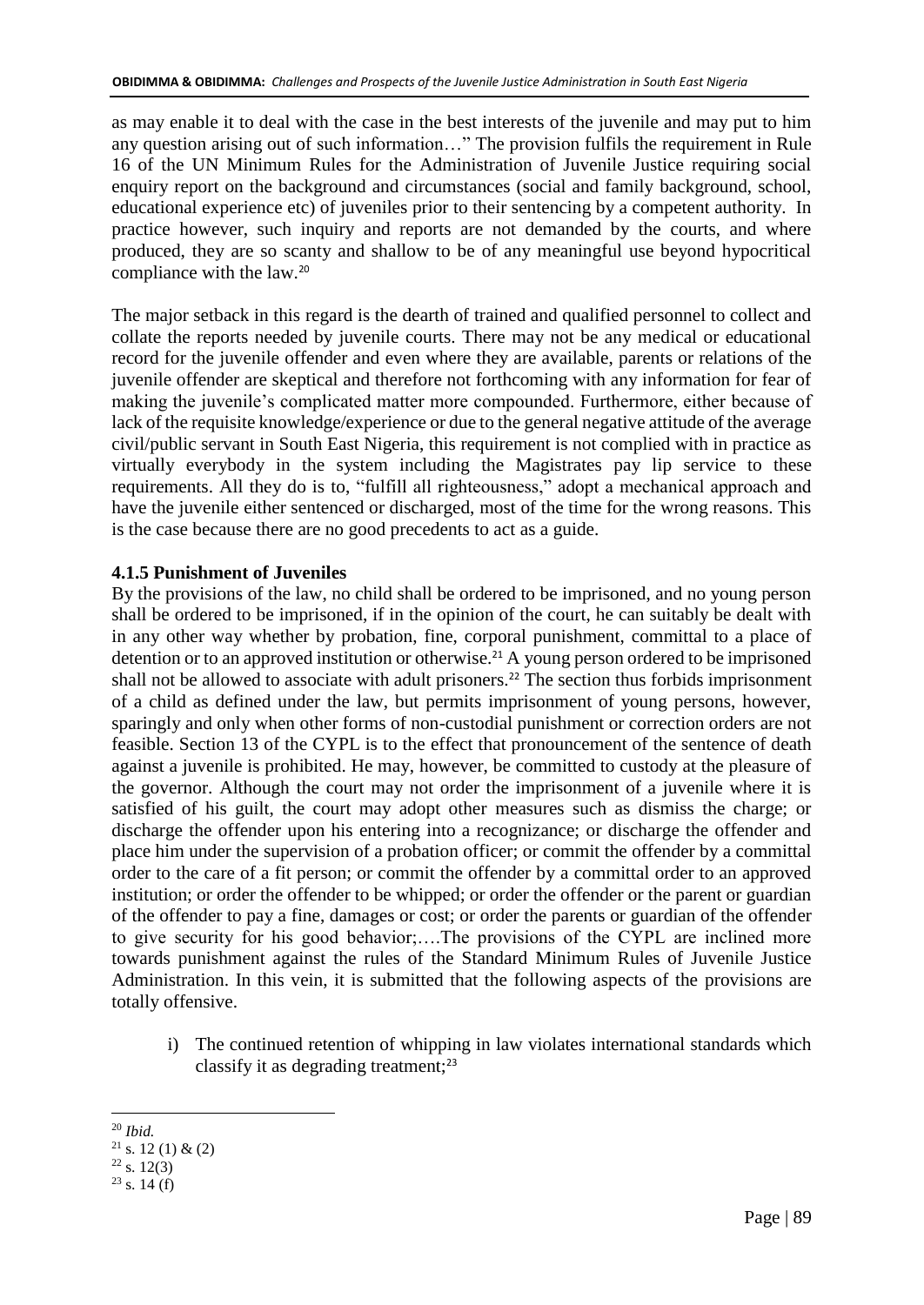as may enable it to deal with the case in the best interests of the juvenile and may put to him any question arising out of such information…" The provision fulfils the requirement in Rule 16 of the UN Minimum Rules for the Administration of Juvenile Justice requiring social enquiry report on the background and circumstances (social and family background, school, educational experience etc) of juveniles prior to their sentencing by a competent authority. In practice however, such inquiry and reports are not demanded by the courts, and where produced, they are so scanty and shallow to be of any meaningful use beyond hypocritical compliance with the law.<sup>20</sup>

The major setback in this regard is the dearth of trained and qualified personnel to collect and collate the reports needed by juvenile courts. There may not be any medical or educational record for the juvenile offender and even where they are available, parents or relations of the juvenile offender are skeptical and therefore not forthcoming with any information for fear of making the juvenile's complicated matter more compounded. Furthermore, either because of lack of the requisite knowledge/experience or due to the general negative attitude of the average civil/public servant in South East Nigeria, this requirement is not complied with in practice as virtually everybody in the system including the Magistrates pay lip service to these requirements. All they do is to, "fulfill all righteousness," adopt a mechanical approach and have the juvenile either sentenced or discharged, most of the time for the wrong reasons. This is the case because there are no good precedents to act as a guide.

# **4.1.5 Punishment of Juveniles**

By the provisions of the law, no child shall be ordered to be imprisoned, and no young person shall be ordered to be imprisoned, if in the opinion of the court, he can suitably be dealt with in any other way whether by probation, fine, corporal punishment, committal to a place of detention or to an approved institution or otherwise.<sup>21</sup> A young person ordered to be imprisoned shall not be allowed to associate with adult prisoners. <sup>22</sup> The section thus forbids imprisonment of a child as defined under the law, but permits imprisonment of young persons, however, sparingly and only when other forms of non-custodial punishment or correction orders are not feasible. Section 13 of the CYPL is to the effect that pronouncement of the sentence of death against a juvenile is prohibited. He may, however, be committed to custody at the pleasure of the governor. Although the court may not order the imprisonment of a juvenile where it is satisfied of his guilt, the court may adopt other measures such as dismiss the charge; or discharge the offender upon his entering into a recognizance; or discharge the offender and place him under the supervision of a probation officer; or commit the offender by a committal order to the care of a fit person; or commit the offender by a committal order to an approved institution; or order the offender to be whipped; or order the offender or the parent or guardian of the offender to pay a fine, damages or cost; or order the parents or guardian of the offender to give security for his good behavior;….The provisions of the CYPL are inclined more towards punishment against the rules of the Standard Minimum Rules of Juvenile Justice Administration. In this vein, it is submitted that the following aspects of the provisions are totally offensive.

- i) The continued retention of whipping in law violates international standards which classify it as degrading treatment;<sup>23</sup>
- <u>.</u> <sup>20</sup> *Ibid.*

 $21$  s. 12 (1) & (2)

 $22$  s. 12(3)

 $23$  s. 14 (f)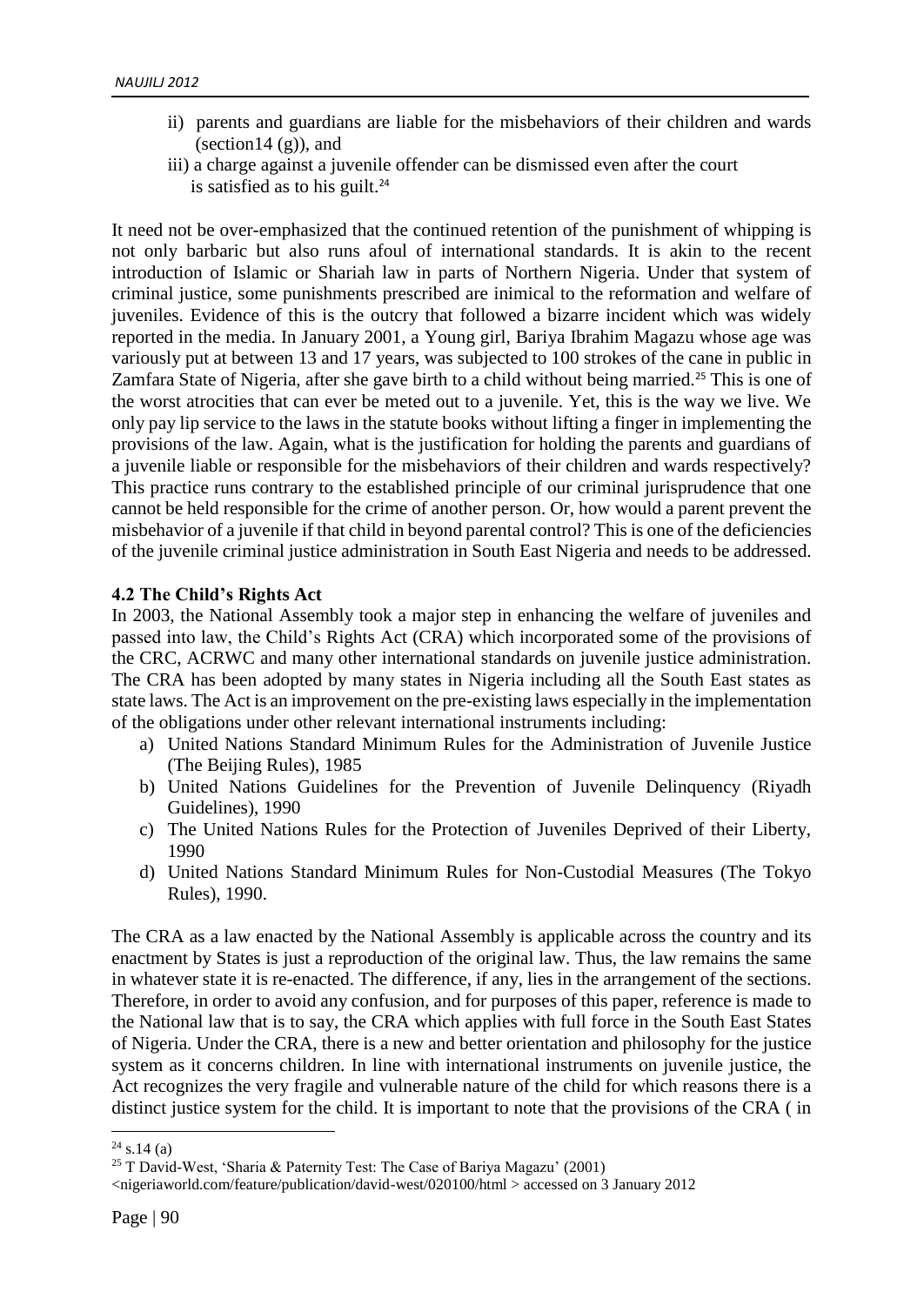- ii) parents and guardians are liable for the misbehaviors of their children and wards (section14 $(g)$ ), and
- iii) a charge against a juvenile offender can be dismissed even after the court is satisfied as to his guilt. $24$

It need not be over-emphasized that the continued retention of the punishment of whipping is not only barbaric but also runs afoul of international standards. It is akin to the recent introduction of Islamic or Shariah law in parts of Northern Nigeria. Under that system of criminal justice, some punishments prescribed are inimical to the reformation and welfare of juveniles. Evidence of this is the outcry that followed a bizarre incident which was widely reported in the media. In January 2001, a Young girl, Bariya Ibrahim Magazu whose age was variously put at between 13 and 17 years, was subjected to 100 strokes of the cane in public in Zamfara State of Nigeria, after she gave birth to a child without being married.<sup>25</sup> This is one of the worst atrocities that can ever be meted out to a juvenile. Yet, this is the way we live. We only pay lip service to the laws in the statute books without lifting a finger in implementing the provisions of the law. Again, what is the justification for holding the parents and guardians of a juvenile liable or responsible for the misbehaviors of their children and wards respectively? This practice runs contrary to the established principle of our criminal jurisprudence that one cannot be held responsible for the crime of another person. Or, how would a parent prevent the misbehavior of a juvenile if that child in beyond parental control? This is one of the deficiencies of the juvenile criminal justice administration in South East Nigeria and needs to be addressed.

# **4.2 The Child's Rights Act**

In 2003, the National Assembly took a major step in enhancing the welfare of juveniles and passed into law, the Child's Rights Act (CRA) which incorporated some of the provisions of the CRC, ACRWC and many other international standards on juvenile justice administration. The CRA has been adopted by many states in Nigeria including all the South East states as state laws. The Act is an improvement on the pre-existing laws especially in the implementation of the obligations under other relevant international instruments including:

- a) United Nations Standard Minimum Rules for the Administration of Juvenile Justice (The Beijing Rules), 1985
- b) United Nations Guidelines for the Prevention of Juvenile Delinquency (Riyadh Guidelines), 1990
- c) The United Nations Rules for the Protection of Juveniles Deprived of their Liberty, 1990
- d) United Nations Standard Minimum Rules for Non-Custodial Measures (The Tokyo Rules), 1990.

The CRA as a law enacted by the National Assembly is applicable across the country and its enactment by States is just a reproduction of the original law. Thus, the law remains the same in whatever state it is re-enacted. The difference, if any, lies in the arrangement of the sections. Therefore, in order to avoid any confusion, and for purposes of this paper, reference is made to the National law that is to say, the CRA which applies with full force in the South East States of Nigeria. Under the CRA, there is a new and better orientation and philosophy for the justice system as it concerns children. In line with international instruments on juvenile justice, the Act recognizes the very fragile and vulnerable nature of the child for which reasons there is a distinct justice system for the child. It is important to note that the provisions of the CRA ( in

 $24$  s.14 (a)

<sup>25</sup> T David-West, 'Sharia & Paternity Test: The Case of Bariya Magazu' (2001)

<sup>&</sup>lt;nigeriaworld.com/feature/publication/david-west/020100/html > accessed on 3 January 2012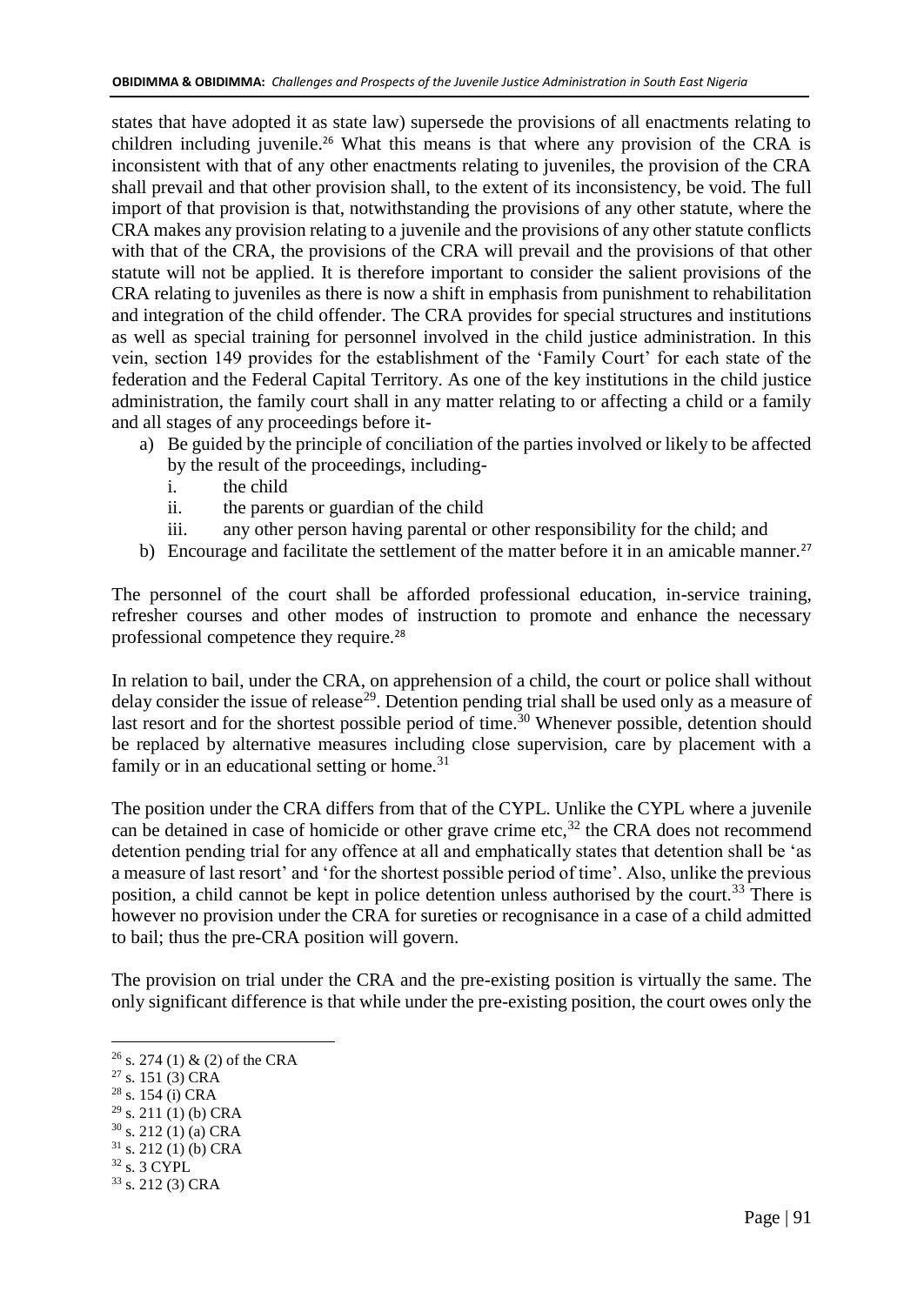states that have adopted it as state law) supersede the provisions of all enactments relating to children including juvenile.<sup>26</sup> What this means is that where any provision of the CRA is inconsistent with that of any other enactments relating to juveniles, the provision of the CRA shall prevail and that other provision shall, to the extent of its inconsistency, be void. The full import of that provision is that, notwithstanding the provisions of any other statute, where the CRA makes any provision relating to a juvenile and the provisions of any other statute conflicts with that of the CRA, the provisions of the CRA will prevail and the provisions of that other statute will not be applied. It is therefore important to consider the salient provisions of the CRA relating to juveniles as there is now a shift in emphasis from punishment to rehabilitation and integration of the child offender. The CRA provides for special structures and institutions as well as special training for personnel involved in the child justice administration. In this vein, section 149 provides for the establishment of the 'Family Court' for each state of the federation and the Federal Capital Territory. As one of the key institutions in the child justice administration, the family court shall in any matter relating to or affecting a child or a family and all stages of any proceedings before it-

- a) Be guided by the principle of conciliation of the parties involved or likely to be affected by the result of the proceedings, including
	- i. the child
	- ii. the parents or guardian of the child
	- iii. any other person having parental or other responsibility for the child; and
- b) Encourage and facilitate the settlement of the matter before it in an amicable manner.<sup>27</sup>

The personnel of the court shall be afforded professional education, in-service training, refresher courses and other modes of instruction to promote and enhance the necessary professional competence they require.<sup>28</sup>

In relation to bail, under the CRA, on apprehension of a child, the court or police shall without delay consider the issue of release<sup>29</sup>. Detention pending trial shall be used only as a measure of last resort and for the shortest possible period of time.<sup>30</sup> Whenever possible, detention should be replaced by alternative measures including close supervision, care by placement with a family or in an educational setting or home.<sup>31</sup>

The position under the CRA differs from that of the CYPL. Unlike the CYPL where a juvenile can be detained in case of homicide or other grave crime etc, $32$  the CRA does not recommend detention pending trial for any offence at all and emphatically states that detention shall be 'as a measure of last resort' and 'for the shortest possible period of time'. Also, unlike the previous position, a child cannot be kept in police detention unless authorised by the court.<sup>33</sup> There is however no provision under the CRA for sureties or recognisance in a case of a child admitted to bail; thus the pre-CRA position will govern.

The provision on trial under the CRA and the pre-existing position is virtually the same. The only significant difference is that while under the pre-existing position, the court owes only the

- <sup>28</sup> s. 154 (i) CRA
- $29$  s. 211 (1) (b) CRA
- $30$  s. 212 (1) (a) CRA
- $31$  s. 212 (1) (b) CRA  $^{32}$  s. 3 CYPL
- <sup>33</sup> s. 212 (3) CRA

<sup>&</sup>lt;sup>26</sup> s. 274 (1) & (2) of the CRA

<sup>27</sup> s. 151 (3) CRA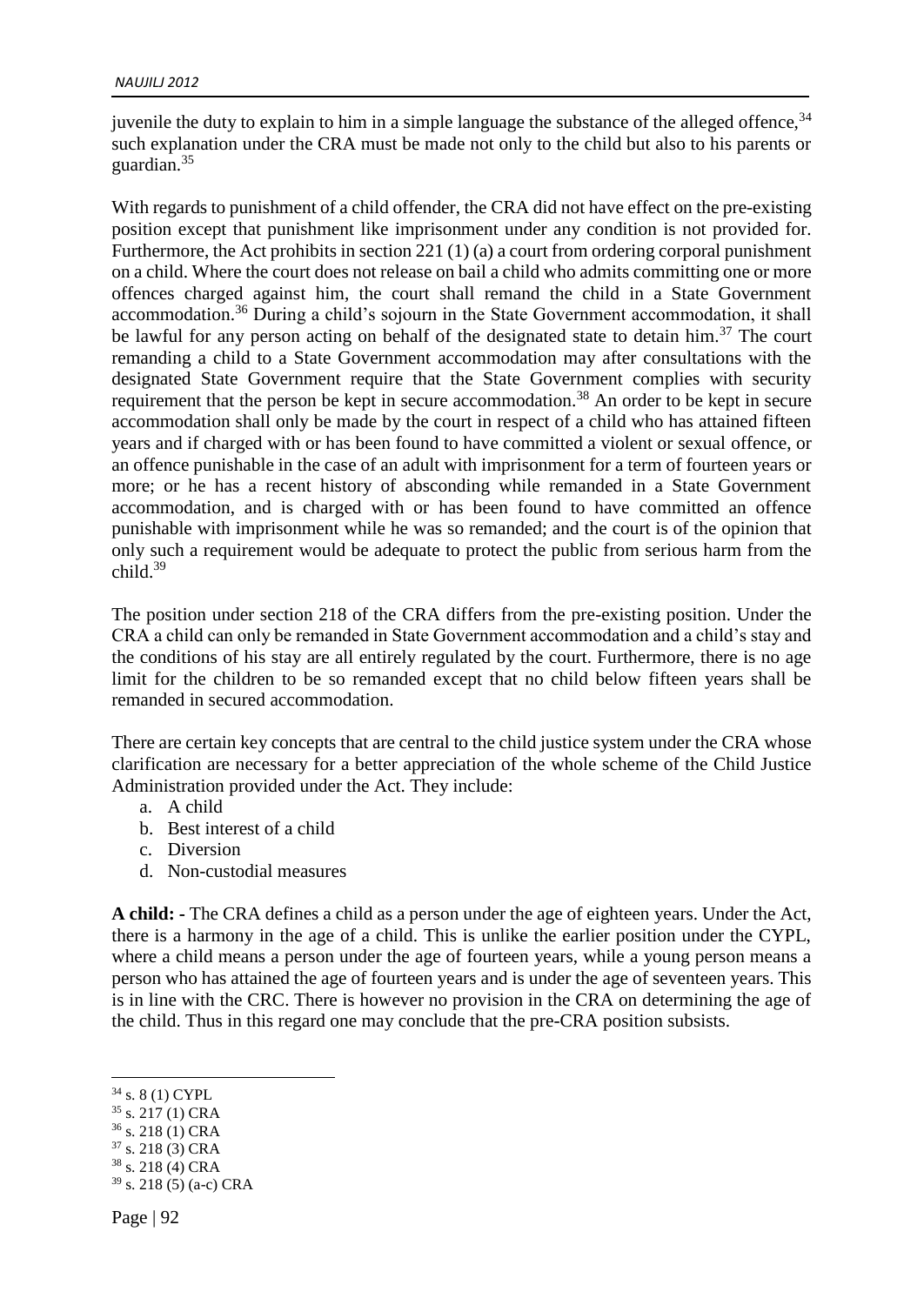juvenile the duty to explain to him in a simple language the substance of the alleged offence,  $34$ such explanation under the CRA must be made not only to the child but also to his parents or guardian.<sup>35</sup>

With regards to punishment of a child offender, the CRA did not have effect on the pre-existing position except that punishment like imprisonment under any condition is not provided for. Furthermore, the Act prohibits in section 221 (1) (a) a court from ordering corporal punishment on a child. Where the court does not release on bail a child who admits committing one or more offences charged against him, the court shall remand the child in a State Government accommodation.<sup>36</sup> During a child's sojourn in the State Government accommodation, it shall be lawful for any person acting on behalf of the designated state to detain him.<sup>37</sup> The court remanding a child to a State Government accommodation may after consultations with the designated State Government require that the State Government complies with security requirement that the person be kept in secure accommodation.<sup>38</sup> An order to be kept in secure accommodation shall only be made by the court in respect of a child who has attained fifteen years and if charged with or has been found to have committed a violent or sexual offence, or an offence punishable in the case of an adult with imprisonment for a term of fourteen years or more; or he has a recent history of absconding while remanded in a State Government accommodation, and is charged with or has been found to have committed an offence punishable with imprisonment while he was so remanded; and the court is of the opinion that only such a requirement would be adequate to protect the public from serious harm from the child.<sup>39</sup>

The position under section 218 of the CRA differs from the pre-existing position. Under the CRA a child can only be remanded in State Government accommodation and a child's stay and the conditions of his stay are all entirely regulated by the court. Furthermore, there is no age limit for the children to be so remanded except that no child below fifteen years shall be remanded in secured accommodation.

There are certain key concepts that are central to the child justice system under the CRA whose clarification are necessary for a better appreciation of the whole scheme of the Child Justice Administration provided under the Act. They include:

- a. A child
- b. Best interest of a child
- c. Diversion
- d. Non-custodial measures

**A child: -** The CRA defines a child as a person under the age of eighteen years. Under the Act, there is a harmony in the age of a child. This is unlike the earlier position under the CYPL, where a child means a person under the age of fourteen years, while a young person means a person who has attained the age of fourteen years and is under the age of seventeen years. This is in line with the CRC. There is however no provision in the CRA on determining the age of the child. Thus in this regard one may conclude that the pre-CRA position subsists.

- <sup>36</sup> s. 218 (1) CRA
- <sup>37</sup> s. 218 (3) CRA
- <sup>38</sup> s. 218 (4) CRA

<sup>34</sup> s. 8 (1) CYPL

<sup>35</sup> s. 217 (1) CRA

 $39$  s. 218 (5) (a-c) CRA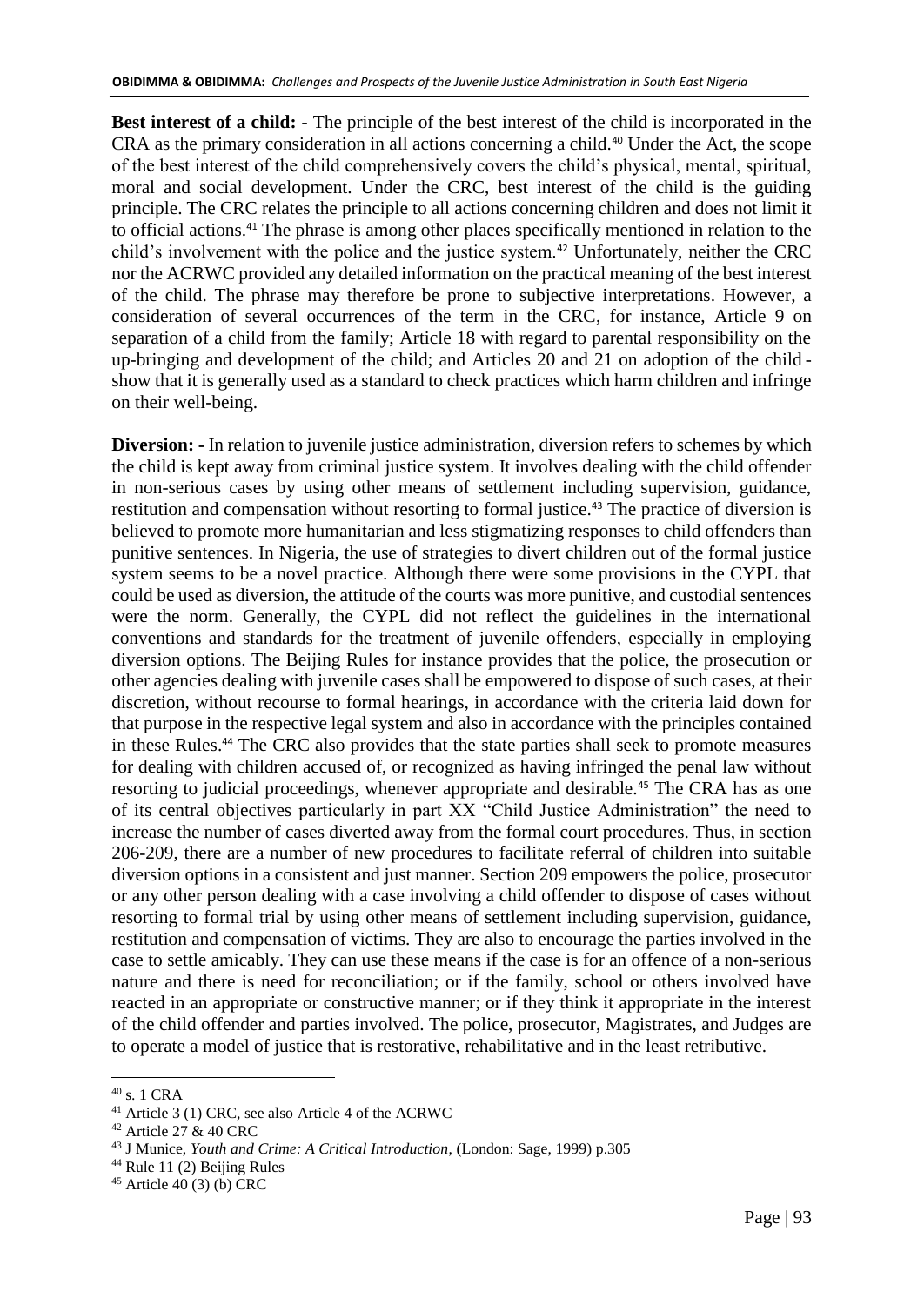**Best interest of a child: -** The principle of the best interest of the child is incorporated in the CRA as the primary consideration in all actions concerning a child.<sup>40</sup> Under the Act, the scope of the best interest of the child comprehensively covers the child's physical, mental, spiritual, moral and social development. Under the CRC, best interest of the child is the guiding principle. The CRC relates the principle to all actions concerning children and does not limit it to official actions.<sup>41</sup> The phrase is among other places specifically mentioned in relation to the child's involvement with the police and the justice system.<sup>42</sup> Unfortunately, neither the CRC nor the ACRWC provided any detailed information on the practical meaning of the best interest of the child. The phrase may therefore be prone to subjective interpretations. However, a consideration of several occurrences of the term in the CRC, for instance, Article 9 on separation of a child from the family; Article 18 with regard to parental responsibility on the up-bringing and development of the child; and Articles 20 and 21 on adoption of the child show that it is generally used as a standard to check practices which harm children and infringe on their well-being.

**Diversion:** - In relation to juvenile justice administration, diversion refers to schemes by which the child is kept away from criminal justice system. It involves dealing with the child offender in non-serious cases by using other means of settlement including supervision, guidance, restitution and compensation without resorting to formal justice.<sup>43</sup> The practice of diversion is believed to promote more humanitarian and less stigmatizing responses to child offenders than punitive sentences. In Nigeria, the use of strategies to divert children out of the formal justice system seems to be a novel practice. Although there were some provisions in the CYPL that could be used as diversion, the attitude of the courts was more punitive, and custodial sentences were the norm. Generally, the CYPL did not reflect the guidelines in the international conventions and standards for the treatment of juvenile offenders, especially in employing diversion options. The Beijing Rules for instance provides that the police, the prosecution or other agencies dealing with juvenile cases shall be empowered to dispose of such cases, at their discretion, without recourse to formal hearings, in accordance with the criteria laid down for that purpose in the respective legal system and also in accordance with the principles contained in these Rules.<sup>44</sup> The CRC also provides that the state parties shall seek to promote measures for dealing with children accused of, or recognized as having infringed the penal law without resorting to judicial proceedings, whenever appropriate and desirable.<sup>45</sup> The CRA has as one of its central objectives particularly in part XX "Child Justice Administration" the need to increase the number of cases diverted away from the formal court procedures. Thus, in section 206-209, there are a number of new procedures to facilitate referral of children into suitable diversion options in a consistent and just manner. Section 209 empowers the police, prosecutor or any other person dealing with a case involving a child offender to dispose of cases without resorting to formal trial by using other means of settlement including supervision, guidance, restitution and compensation of victims. They are also to encourage the parties involved in the case to settle amicably. They can use these means if the case is for an offence of a non-serious nature and there is need for reconciliation; or if the family, school or others involved have reacted in an appropriate or constructive manner; or if they think it appropriate in the interest of the child offender and parties involved. The police, prosecutor, Magistrates, and Judges are to operate a model of justice that is restorative, rehabilitative and in the least retributive.

<sup>40</sup> s. 1 CRA

<sup>41</sup> Article 3 (1) CRC, see also Article 4 of the ACRWC

<sup>42</sup> Article 27 & 40 CRC

<sup>43</sup> J Munice, *Youth and Crime: A Critical Introduction*, (London: Sage, 1999) p.305

<sup>44</sup> Rule 11 (2) Beijing Rules

 $45$  Article 40 (3) (b) CRC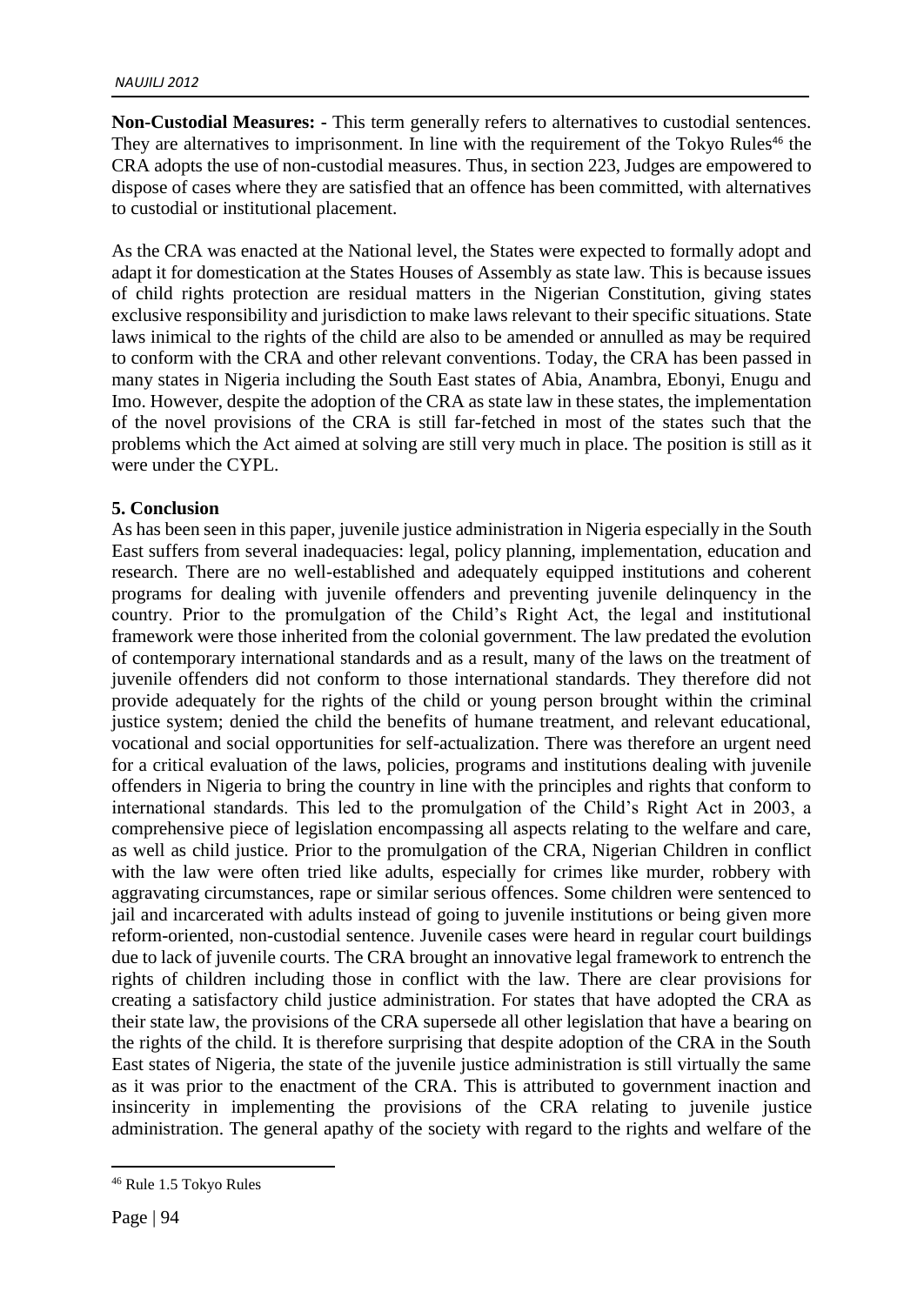**Non-Custodial Measures: -** This term generally refers to alternatives to custodial sentences. They are alternatives to imprisonment. In line with the requirement of the Tokyo Rules<sup>46</sup> the CRA adopts the use of non-custodial measures. Thus, in section 223, Judges are empowered to dispose of cases where they are satisfied that an offence has been committed, with alternatives to custodial or institutional placement.

As the CRA was enacted at the National level, the States were expected to formally adopt and adapt it for domestication at the States Houses of Assembly as state law. This is because issues of child rights protection are residual matters in the Nigerian Constitution, giving states exclusive responsibility and jurisdiction to make laws relevant to their specific situations. State laws inimical to the rights of the child are also to be amended or annulled as may be required to conform with the CRA and other relevant conventions. Today, the CRA has been passed in many states in Nigeria including the South East states of Abia, Anambra, Ebonyi, Enugu and Imo. However, despite the adoption of the CRA as state law in these states, the implementation of the novel provisions of the CRA is still far-fetched in most of the states such that the problems which the Act aimed at solving are still very much in place. The position is still as it were under the CYPL.

#### **5. Conclusion**

As has been seen in this paper, juvenile justice administration in Nigeria especially in the South East suffers from several inadequacies: legal, policy planning, implementation, education and research. There are no well-established and adequately equipped institutions and coherent programs for dealing with juvenile offenders and preventing juvenile delinquency in the country. Prior to the promulgation of the Child's Right Act, the legal and institutional framework were those inherited from the colonial government. The law predated the evolution of contemporary international standards and as a result, many of the laws on the treatment of juvenile offenders did not conform to those international standards. They therefore did not provide adequately for the rights of the child or young person brought within the criminal justice system; denied the child the benefits of humane treatment, and relevant educational, vocational and social opportunities for self-actualization. There was therefore an urgent need for a critical evaluation of the laws, policies, programs and institutions dealing with juvenile offenders in Nigeria to bring the country in line with the principles and rights that conform to international standards. This led to the promulgation of the Child's Right Act in 2003, a comprehensive piece of legislation encompassing all aspects relating to the welfare and care, as well as child justice. Prior to the promulgation of the CRA, Nigerian Children in conflict with the law were often tried like adults, especially for crimes like murder, robbery with aggravating circumstances, rape or similar serious offences. Some children were sentenced to jail and incarcerated with adults instead of going to juvenile institutions or being given more reform-oriented, non-custodial sentence. Juvenile cases were heard in regular court buildings due to lack of juvenile courts. The CRA brought an innovative legal framework to entrench the rights of children including those in conflict with the law. There are clear provisions for creating a satisfactory child justice administration. For states that have adopted the CRA as their state law, the provisions of the CRA supersede all other legislation that have a bearing on the rights of the child. It is therefore surprising that despite adoption of the CRA in the South East states of Nigeria, the state of the juvenile justice administration is still virtually the same as it was prior to the enactment of the CRA. This is attributed to government inaction and insincerity in implementing the provisions of the CRA relating to juvenile justice administration. The general apathy of the society with regard to the rights and welfare of the

<sup>46</sup> Rule 1.5 Tokyo Rules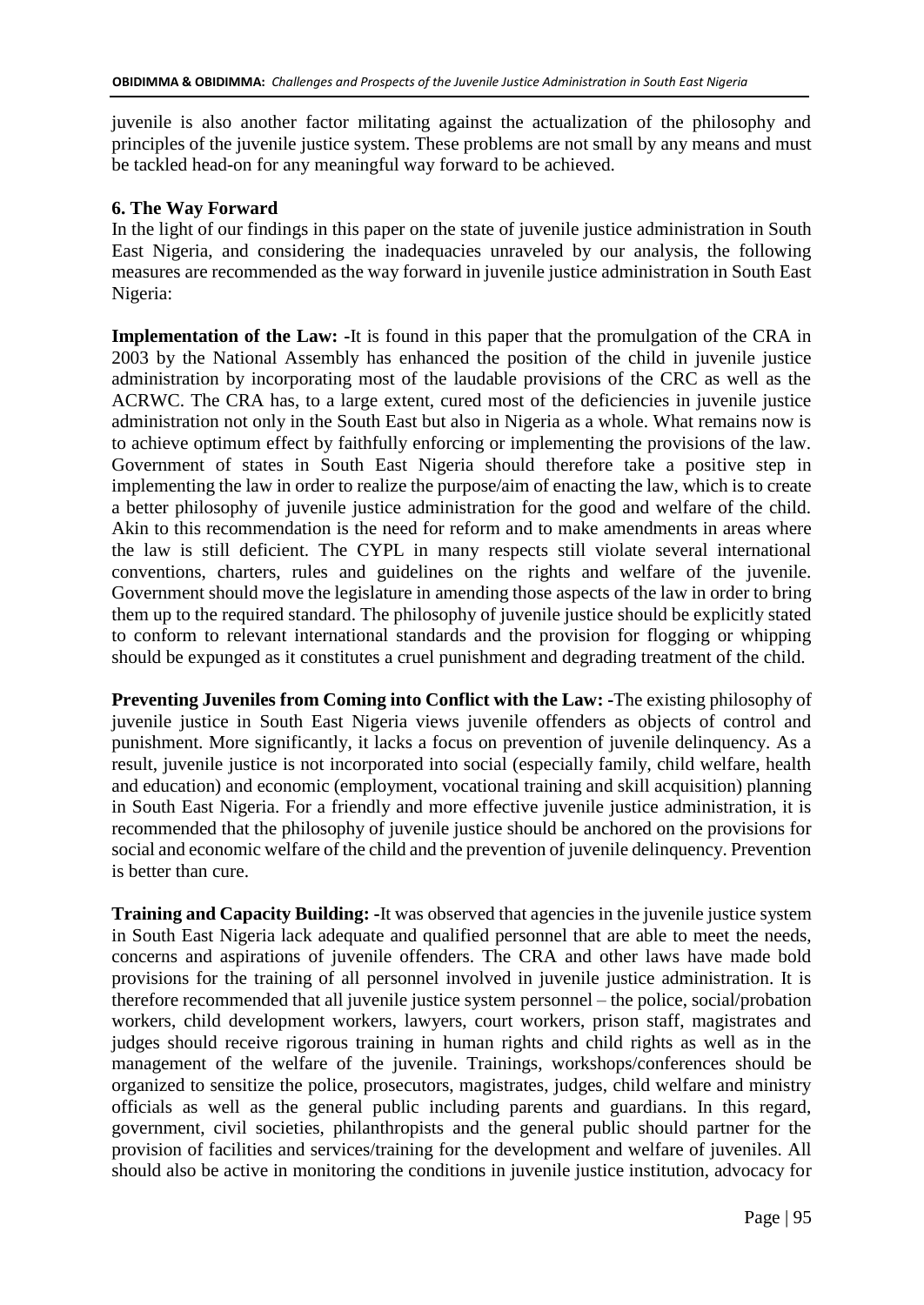juvenile is also another factor militating against the actualization of the philosophy and principles of the juvenile justice system. These problems are not small by any means and must be tackled head-on for any meaningful way forward to be achieved.

## **6. The Way Forward**

In the light of our findings in this paper on the state of juvenile justice administration in South East Nigeria, and considering the inadequacies unraveled by our analysis, the following measures are recommended as the way forward in juvenile justice administration in South East Nigeria:

**Implementation of the Law: -**It is found in this paper that the promulgation of the CRA in 2003 by the National Assembly has enhanced the position of the child in juvenile justice administration by incorporating most of the laudable provisions of the CRC as well as the ACRWC. The CRA has, to a large extent, cured most of the deficiencies in juvenile justice administration not only in the South East but also in Nigeria as a whole. What remains now is to achieve optimum effect by faithfully enforcing or implementing the provisions of the law. Government of states in South East Nigeria should therefore take a positive step in implementing the law in order to realize the purpose/aim of enacting the law, which is to create a better philosophy of juvenile justice administration for the good and welfare of the child. Akin to this recommendation is the need for reform and to make amendments in areas where the law is still deficient. The CYPL in many respects still violate several international conventions, charters, rules and guidelines on the rights and welfare of the juvenile. Government should move the legislature in amending those aspects of the law in order to bring them up to the required standard. The philosophy of juvenile justice should be explicitly stated to conform to relevant international standards and the provision for flogging or whipping should be expunged as it constitutes a cruel punishment and degrading treatment of the child.

**Preventing Juveniles from Coming into Conflict with the Law: -**The existing philosophy of juvenile justice in South East Nigeria views juvenile offenders as objects of control and punishment. More significantly, it lacks a focus on prevention of juvenile delinquency. As a result, juvenile justice is not incorporated into social (especially family, child welfare, health and education) and economic (employment, vocational training and skill acquisition) planning in South East Nigeria. For a friendly and more effective juvenile justice administration, it is recommended that the philosophy of juvenile justice should be anchored on the provisions for social and economic welfare of the child and the prevention of juvenile delinquency. Prevention is better than cure.

**Training and Capacity Building: -**It was observed that agencies in the juvenile justice system in South East Nigeria lack adequate and qualified personnel that are able to meet the needs, concerns and aspirations of juvenile offenders. The CRA and other laws have made bold provisions for the training of all personnel involved in juvenile justice administration. It is therefore recommended that all juvenile justice system personnel – the police, social/probation workers, child development workers, lawyers, court workers, prison staff, magistrates and judges should receive rigorous training in human rights and child rights as well as in the management of the welfare of the juvenile. Trainings, workshops/conferences should be organized to sensitize the police, prosecutors, magistrates, judges, child welfare and ministry officials as well as the general public including parents and guardians. In this regard, government, civil societies, philanthropists and the general public should partner for the provision of facilities and services/training for the development and welfare of juveniles. All should also be active in monitoring the conditions in juvenile justice institution, advocacy for